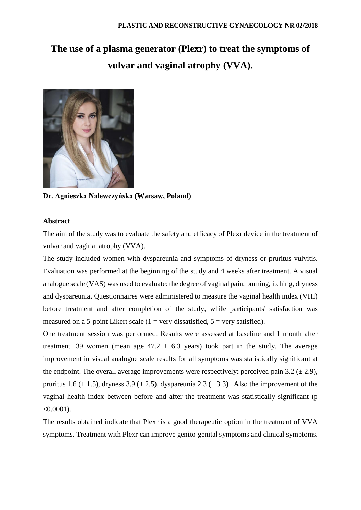# **The use of a plasma generator (Plexr) to treat the symptoms of vulvar and vaginal atrophy (VVA).**



**Dr. Agnieszka Nalewczyńska (Warsaw, Poland)**

# **Abstract**

The aim of the study was to evaluate the safety and efficacy of Plexr device in the treatment of vulvar and vaginal atrophy (VVA).

The study included women with dyspareunia and symptoms of dryness or pruritus vulvitis. Evaluation was performed at the beginning of the study and 4 weeks after treatment. A visual analogue scale (VAS) was used to evaluate: the degree of vaginal pain, burning, itching, dryness and dyspareunia. Questionnaires were administered to measure the vaginal health index (VHI) before treatment and after completion of the study, while participants' satisfaction was measured on a 5-point Likert scale  $(1 = \text{very dissatisfied}, 5 = \text{very satisfied})$ .

One treatment session was performed. Results were assessed at baseline and 1 month after treatment. 39 women (mean age  $47.2 \pm 6.3$  years) took part in the study. The average improvement in visual analogue scale results for all symptoms was statistically significant at the endpoint. The overall average improvements were respectively: perceived pain 3.2 ( $\pm$  2.9), pruritus 1.6 ( $\pm$  1.5), dryness 3.9 ( $\pm$  2.5), dyspareunia 2.3 ( $\pm$  3.3). Also the improvement of the vaginal health index between before and after the treatment was statistically significant (p  $< 0.0001$ ).

The results obtained indicate that Plexr is a good therapeutic option in the treatment of VVA symptoms. Treatment with Plexr can improve genito-genital symptoms and clinical symptoms.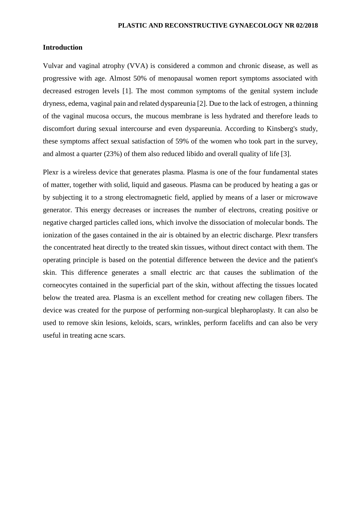## **Introduction**

Vulvar and vaginal atrophy (VVA) is considered a common and chronic disease, as well as progressive with age. Almost 50% of menopausal women report symptoms associated with decreased estrogen levels [1]. The most common symptoms of the genital system include dryness, edema, vaginal pain and related dyspareunia [2]. Due to the lack of estrogen, a thinning of the vaginal mucosa occurs, the mucous membrane is less hydrated and therefore leads to discomfort during sexual intercourse and even dyspareunia. According to Kinsberg's study, these symptoms affect sexual satisfaction of 59% of the women who took part in the survey, and almost a quarter (23%) of them also reduced libido and overall quality of life [3].

Plexr is a wireless device that generates plasma. Plasma is one of the four fundamental states of matter, together with solid, liquid and gaseous. Plasma can be produced by heating a gas or by subjecting it to a strong electromagnetic field, applied by means of a laser or microwave generator. This energy decreases or increases the number of electrons, creating positive or negative charged particles called ions, which involve the dissociation of molecular bonds. The ionization of the gases contained in the air is obtained by an electric discharge. Plexr transfers the concentrated heat directly to the treated skin tissues, without direct contact with them. The operating principle is based on the potential difference between the device and the patient's skin. This difference generates a small electric arc that causes the sublimation of the corneocytes contained in the superficial part of the skin, without affecting the tissues located below the treated area. Plasma is an excellent method for creating new collagen fibers. The device was created for the purpose of performing non-surgical blepharoplasty. It can also be used to remove skin lesions, keloids, scars, wrinkles, perform facelifts and can also be very useful in treating acne scars.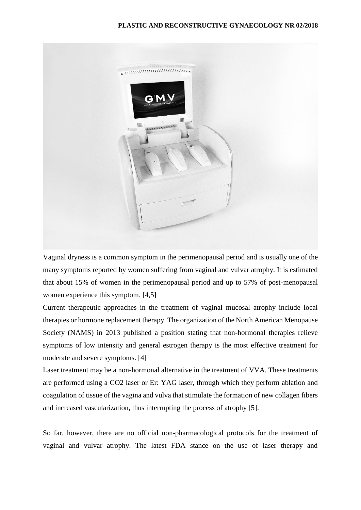

Vaginal dryness is a common symptom in the perimenopausal period and is usually one of the many symptoms reported by women suffering from vaginal and vulvar atrophy. It is estimated that about 15% of women in the perimenopausal period and up to 57% of post-menopausal women experience this symptom. [4,5]

Current therapeutic approaches in the treatment of vaginal mucosal atrophy include local therapies or hormone replacement therapy. The organization of the North American Menopause Society (NAMS) in 2013 published a position stating that non-hormonal therapies relieve symptoms of low intensity and general estrogen therapy is the most effective treatment for moderate and severe symptoms. [4]

Laser treatment may be a non-hormonal alternative in the treatment of VVA. These treatments are performed using a CO2 laser or Er: YAG laser, through which they perform ablation and coagulation of tissue of the vagina and vulva that stimulate the formation of new collagen fibers and increased vascularization, thus interrupting the process of atrophy [5].

So far, however, there are no official non-pharmacological protocols for the treatment of vaginal and vulvar atrophy. The latest FDA stance on the use of laser therapy and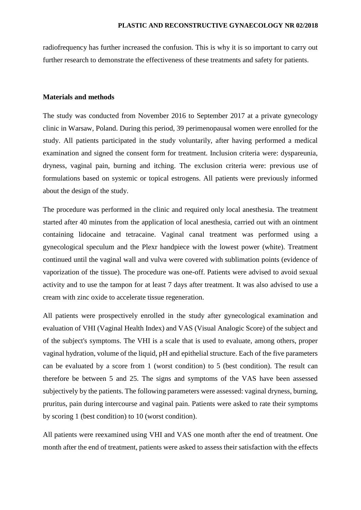radiofrequency has further increased the confusion. This is why it is so important to carry out further research to demonstrate the effectiveness of these treatments and safety for patients.

#### **Materials and methods**

The study was conducted from November 2016 to September 2017 at a private gynecology clinic in Warsaw, Poland. During this period, 39 perimenopausal women were enrolled for the study. All patients participated in the study voluntarily, after having performed a medical examination and signed the consent form for treatment. Inclusion criteria were: dyspareunia, dryness, vaginal pain, burning and itching. The exclusion criteria were: previous use of formulations based on systemic or topical estrogens. All patients were previously informed about the design of the study.

The procedure was performed in the clinic and required only local anesthesia. The treatment started after 40 minutes from the application of local anesthesia, carried out with an ointment containing lidocaine and tetracaine. Vaginal canal treatment was performed using a gynecological speculum and the Plexr handpiece with the lowest power (white). Treatment continued until the vaginal wall and vulva were covered with sublimation points (evidence of vaporization of the tissue). The procedure was one-off. Patients were advised to avoid sexual activity and to use the tampon for at least 7 days after treatment. It was also advised to use a cream with zinc oxide to accelerate tissue regeneration.

All patients were prospectively enrolled in the study after gynecological examination and evaluation of VHI (Vaginal Health Index) and VAS (Visual Analogic Score) of the subject and of the subject's symptoms. The VHI is a scale that is used to evaluate, among others, proper vaginal hydration, volume of the liquid, pH and epithelial structure. Each of the five parameters can be evaluated by a score from 1 (worst condition) to 5 (best condition). The result can therefore be between 5 and 25. The signs and symptoms of the VAS have been assessed subjectively by the patients. The following parameters were assessed: vaginal dryness, burning, pruritus, pain during intercourse and vaginal pain. Patients were asked to rate their symptoms by scoring 1 (best condition) to 10 (worst condition).

All patients were reexamined using VHI and VAS one month after the end of treatment. One month after the end of treatment, patients were asked to assess their satisfaction with the effects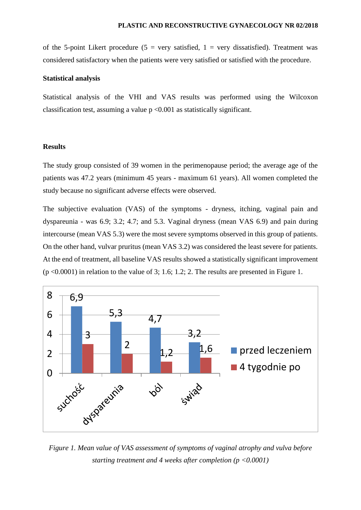of the 5-point Likert procedure (5 = very satisfied,  $1$  = very dissatisfied). Treatment was considered satisfactory when the patients were very satisfied or satisfied with the procedure.

### **Statistical analysis**

Statistical analysis of the VHI and VAS results was performed using the Wilcoxon classification test, assuming a value  $p \le 0.001$  as statistically significant.

#### **Results**

The study group consisted of 39 women in the perimenopause period; the average age of the patients was 47.2 years (minimum 45 years - maximum 61 years). All women completed the study because no significant adverse effects were observed.

The subjective evaluation (VAS) of the symptoms - dryness, itching, vaginal pain and dyspareunia - was 6.9; 3.2; 4.7; and 5.3. Vaginal dryness (mean VAS 6.9) and pain during intercourse (mean VAS 5.3) were the most severe symptoms observed in this group of patients. On the other hand, vulvar pruritus (mean VAS 3.2) was considered the least severe for patients. At the end of treatment, all baseline VAS results showed a statistically significant improvement  $(p \le 0.0001)$  in relation to the value of 3; 1.6; 1.2; 2. The results are presented in Figure 1.



*Figure 1. Mean value of VAS assessment of symptoms of vaginal atrophy and vulva before starting treatment and 4 weeks after completion (p <0.0001)*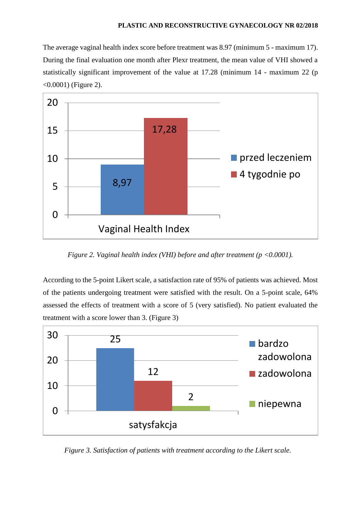The average vaginal health index score before treatment was 8.97 (minimum 5 - maximum 17). During the final evaluation one month after Plexr treatment, the mean value of VHI showed a statistically significant improvement of the value at 17.28 (minimum 14 - maximum 22 (p <0.0001) (Figure 2).



*Figure 2. Vaginal health index (VHI) before and after treatment (p <0.0001).*

According to the 5-point Likert scale, a satisfaction rate of 95% of patients was achieved. Most of the patients undergoing treatment were satisfied with the result. On a 5-point scale, 64% assessed the effects of treatment with a score of 5 (very satisfied). No patient evaluated the treatment with a score lower than 3. (Figure 3)



*Figure 3. Satisfaction of patients with treatment according to the Likert scale.*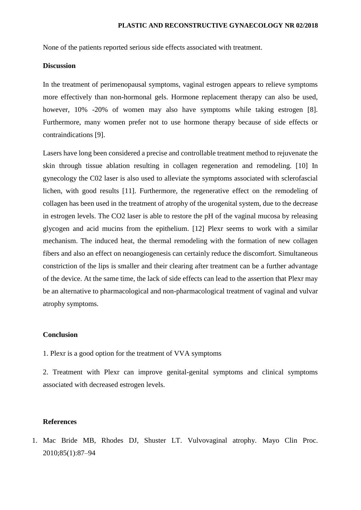None of the patients reported serious side effects associated with treatment.

## **Discussion**

In the treatment of perimenopausal symptoms, vaginal estrogen appears to relieve symptoms more effectively than non-hormonal gels. Hormone replacement therapy can also be used, however, 10% -20% of women may also have symptoms while taking estrogen [8]. Furthermore, many women prefer not to use hormone therapy because of side effects or contraindications [9].

Lasers have long been considered a precise and controllable treatment method to rejuvenate the skin through tissue ablation resulting in collagen regeneration and remodeling. [10] In gynecology the C02 laser is also used to alleviate the symptoms associated with sclerofascial lichen, with good results [11]. Furthermore, the regenerative effect on the remodeling of collagen has been used in the treatment of atrophy of the urogenital system, due to the decrease in estrogen levels. The CO2 laser is able to restore the pH of the vaginal mucosa by releasing glycogen and acid mucins from the epithelium. [12] Plexr seems to work with a similar mechanism. The induced heat, the thermal remodeling with the formation of new collagen fibers and also an effect on neoangiogenesis can certainly reduce the discomfort. Simultaneous constriction of the lips is smaller and their clearing after treatment can be a further advantage of the device. At the same time, the lack of side effects can lead to the assertion that Plexr may be an alternative to pharmacological and non-pharmacological treatment of vaginal and vulvar atrophy symptoms.

#### **Conclusion**

1. Plexr is a good option for the treatment of VVA symptoms

2. Treatment with Plexr can improve genital-genital symptoms and clinical symptoms associated with decreased estrogen levels.

## **References**

1. Mac Bride MB, Rhodes DJ, Shuster LT. Vulvovaginal atrophy. Mayo Clin Proc. 2010;85(1):87–94